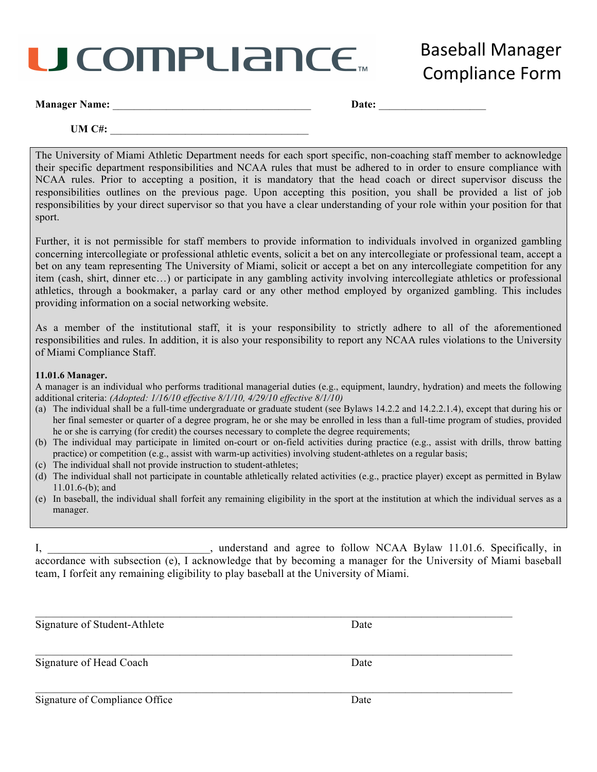## J COMPLIANCE™

**Baseball Manager** Compliance Form

| <b>Manager Name:</b> |  |
|----------------------|--|
|----------------------|--|

**Date:**  $\blacksquare$ 

**UM C#:**  $\blacksquare$ 

The University of Miami Athletic Department needs for each sport specific, non-coaching staff member to acknowledge their specific department responsibilities and NCAA rules that must be adhered to in order to ensure compliance with NCAA rules. Prior to accepting a position, it is mandatory that the head coach or direct supervisor discuss the responsibilities outlines on the previous page. Upon accepting this position, you shall be provided a list of job responsibilities by your direct supervisor so that you have a clear understanding of your role within your position for that sport.

Further, it is not permissible for staff members to provide information to individuals involved in organized gambling concerning intercollegiate or professional athletic events, solicit a bet on any intercollegiate or professional team, accept a bet on any team representing The University of Miami, solicit or accept a bet on any intercollegiate competition for any item (cash, shirt, dinner etc…) or participate in any gambling activity involving intercollegiate athletics or professional athletics, through a bookmaker, a parlay card or any other method employed by organized gambling. This includes providing information on a social networking website.

As a member of the institutional staff, it is your responsibility to strictly adhere to all of the aforementioned responsibilities and rules. In addition, it is also your responsibility to report any NCAA rules violations to the University of Miami Compliance Staff.

#### **11.01.6 Manager.**

A manager is an individual who performs traditional managerial duties (e.g., equipment, laundry, hydration) and meets the following additional criteria: *(Adopted: 1/16/10 effective 8/1/10, 4/29/10 effective 8/1/10)*

- (a) The individual shall be a full-time undergraduate or graduate student (see Bylaws 14.2.2 and 14.2.2.1.4), except that during his or her final semester or quarter of a degree program, he or she may be enrolled in less than a full-time program of studies, provided he or she is carrying (for credit) the courses necessary to complete the degree requirements;
- (b) The individual may participate in limited on-court or on-field activities during practice (e.g., assist with drills, throw batting practice) or competition (e.g., assist with warm-up activities) involving student-athletes on a regular basis;
- (c) The individual shall not provide instruction to student-athletes;
- (d) The individual shall not participate in countable athletically related activities (e.g., practice player) except as permitted in Bylaw 11.01.6-(b); and
- (e) In baseball, the individual shall forfeit any remaining eligibility in the sport at the institution at which the individual serves as a manager.

| $\mathbf{I}_{2}$                                                                                              | understand and agree to follow NCAA Bylaw 11.01.6. Specifically, in |  |  |  |  |
|---------------------------------------------------------------------------------------------------------------|---------------------------------------------------------------------|--|--|--|--|
| accordance with subsection (e), I acknowledge that by becoming a manager for the University of Miami baseball |                                                                     |  |  |  |  |
| team, I forfeit any remaining eligibility to play baseball at the University of Miami.                        |                                                                     |  |  |  |  |

| Signature of Student-Athlete   | Date |
|--------------------------------|------|
| Signature of Head Coach        | Date |
| Signature of Compliance Office | Date |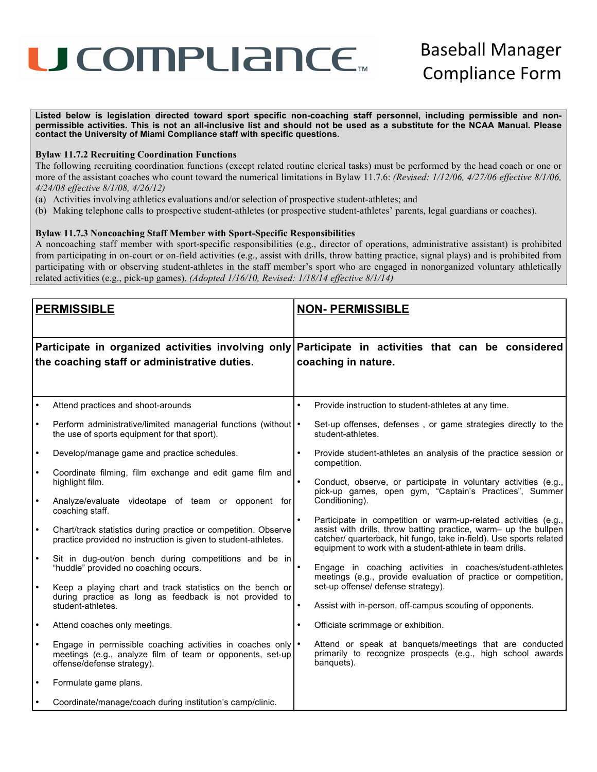### U COMPLIANCE.

**Listed below is legislation directed toward sport specific non-coaching staff personnel, including permissible and nonpermissible activities. This is not an all-inclusive list and should not be used as a substitute for the NCAA Manual. Please contact the University of Miami Compliance staff with specific questions.**

#### **Bylaw 11.7.2 Recruiting Coordination Functions**

The following recruiting coordination functions (except related routine clerical tasks) must be performed by the head coach or one or more of the assistant coaches who count toward the numerical limitations in Bylaw 11.7.6: *(Revised: 1/12/06, 4/27/06 effective 8/1/06, 4/24/08 effective 8/1/08, 4/26/12)*

- (a) Activities involving athletics evaluations and/or selection of prospective student-athletes; and
- (b) Making telephone calls to prospective student-athletes (or prospective student-athletes' parents, legal guardians or coaches).

#### **Bylaw 11.7.3 Noncoaching Staff Member with Sport-Specific Responsibilities**

A noncoaching staff member with sport-specific responsibilities (e.g., director of operations, administrative assistant) is prohibited from participating in on-court or on-field activities (e.g., assist with drills, throw batting practice, signal plays) and is prohibited from participating with or observing student-athletes in the staff member's sport who are engaged in nonorganized voluntary athletically related activities (e.g., pick-up games). *(Adopted 1/16/10, Revised: 1/18/14 effective 8/1/14)*

| <b>PERMISSIBLE</b> |                                                                                                                                                          | <b>NON- PERMISSIBLE</b> |                                                                                                                                                                                                                                                                        |  |  |
|--------------------|----------------------------------------------------------------------------------------------------------------------------------------------------------|-------------------------|------------------------------------------------------------------------------------------------------------------------------------------------------------------------------------------------------------------------------------------------------------------------|--|--|
|                    | Participate in organized activities involving only<br>the coaching staff or administrative duties.                                                       |                         | Participate in activities that can be considered<br>coaching in nature.                                                                                                                                                                                                |  |  |
|                    | Attend practices and shoot-arounds                                                                                                                       |                         | Provide instruction to student-athletes at any time.                                                                                                                                                                                                                   |  |  |
|                    | Perform administrative/limited managerial functions (without   •<br>the use of sports equipment for that sport).                                         |                         | Set-up offenses, defenses, or game strategies directly to the<br>student-athletes.                                                                                                                                                                                     |  |  |
|                    | Develop/manage game and practice schedules.                                                                                                              |                         | Provide student-athletes an analysis of the practice session or<br>competition.                                                                                                                                                                                        |  |  |
|                    | Coordinate filming, film exchange and edit game film and<br>highlight film.                                                                              |                         | Conduct, observe, or participate in voluntary activities (e.g.,<br>pick-up games, open gym, "Captain's Practices", Summer                                                                                                                                              |  |  |
| $\bullet$          | Analyze/evaluate videotape of team or opponent for<br>coaching staff.                                                                                    |                         | Conditioning).                                                                                                                                                                                                                                                         |  |  |
| $\bullet$          | Chart/track statistics during practice or competition. Observe<br>practice provided no instruction is given to student-athletes.                         |                         | Participate in competition or warm-up-related activities (e.g.,<br>assist with drills, throw batting practice, warm- up the bullpen<br>catcher/ quarterback, hit fungo, take in-field). Use sports related<br>equipment to work with a student-athlete in team drills. |  |  |
| $\bullet$          | Sit in dug-out/on bench during competitions and be in<br>"huddle" provided no coaching occurs.                                                           |                         | Engage in coaching activities in coaches/student-athletes<br>meetings (e.g., provide evaluation of practice or competition,                                                                                                                                            |  |  |
|                    | Keep a playing chart and track statistics on the bench or                                                                                                |                         | set-up offense/ defense strategy).                                                                                                                                                                                                                                     |  |  |
|                    | during practice as long as feedback is not provided to<br>student-athletes.                                                                              |                         | Assist with in-person, off-campus scouting of opponents.                                                                                                                                                                                                               |  |  |
| $\bullet$          | Attend coaches only meetings.                                                                                                                            |                         | Officiate scrimmage or exhibition.                                                                                                                                                                                                                                     |  |  |
| $\bullet$          | Engage in permissible coaching activities in coaches only   .<br>meetings (e.g., analyze film of team or opponents, set-up<br>offense/defense strategy). |                         | Attend or speak at banquets/meetings that are conducted<br>primarily to recognize prospects (e.g., high school awards<br>banquets).                                                                                                                                    |  |  |
|                    | Formulate game plans.                                                                                                                                    |                         |                                                                                                                                                                                                                                                                        |  |  |
|                    | Coordinate/manage/coach during institution's camp/clinic.                                                                                                |                         |                                                                                                                                                                                                                                                                        |  |  |